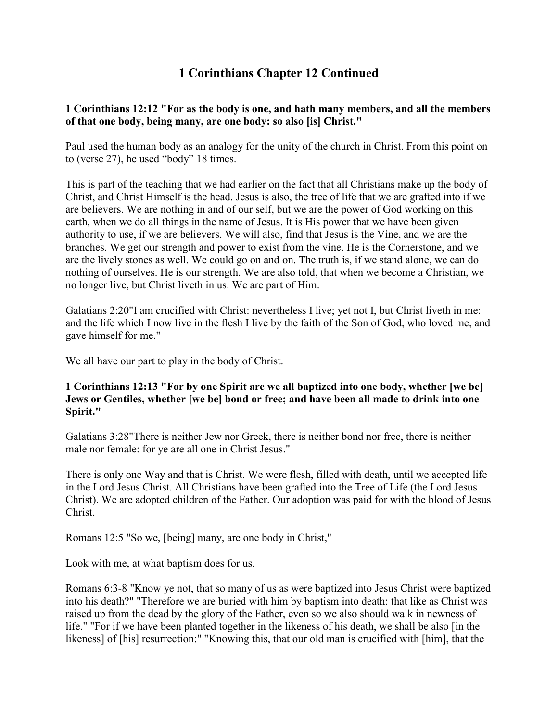# **1 Corinthians Chapter 12 Continued**

## **1 Corinthians 12:12 "For as the body is one, and hath many members, and all the members of that one body, being many, are one body: so also [is] Christ."**

Paul used the human body as an analogy for the unity of the church in Christ. From this point on to (verse 27), he used "body" 18 times.

This is part of the teaching that we had earlier on the fact that all Christians make up the body of Christ, and Christ Himself is the head. Jesus is also, the tree of life that we are grafted into if we are believers. We are nothing in and of our self, but we are the power of God working on this earth, when we do all things in the name of Jesus. It is His power that we have been given authority to use, if we are believers. We will also, find that Jesus is the Vine, and we are the branches. We get our strength and power to exist from the vine. He is the Cornerstone, and we are the lively stones as well. We could go on and on. The truth is, if we stand alone, we can do nothing of ourselves. He is our strength. We are also told, that when we become a Christian, we no longer live, but Christ liveth in us. We are part of Him.

Galatians 2:20"I am crucified with Christ: nevertheless I live; yet not I, but Christ liveth in me: and the life which I now live in the flesh I live by the faith of the Son of God, who loved me, and gave himself for me."

We all have our part to play in the body of Christ.

#### **1 Corinthians 12:13 "For by one Spirit are we all baptized into one body, whether [we be] Jews or Gentiles, whether [we be] bond or free; and have been all made to drink into one Spirit."**

Galatians 3:28"There is neither Jew nor Greek, there is neither bond nor free, there is neither male nor female: for ye are all one in Christ Jesus."

There is only one Way and that is Christ. We were flesh, filled with death, until we accepted life in the Lord Jesus Christ. All Christians have been grafted into the Tree of Life (the Lord Jesus Christ). We are adopted children of the Father. Our adoption was paid for with the blood of Jesus Christ.

Romans 12:5 "So we, [being] many, are one body in Christ,"

Look with me, at what baptism does for us.

Romans 6:3-8 "Know ye not, that so many of us as were baptized into Jesus Christ were baptized into his death?" "Therefore we are buried with him by baptism into death: that like as Christ was raised up from the dead by the glory of the Father, even so we also should walk in newness of life." "For if we have been planted together in the likeness of his death, we shall be also [in the likeness] of [his] resurrection:" "Knowing this, that our old man is crucified with [him], that the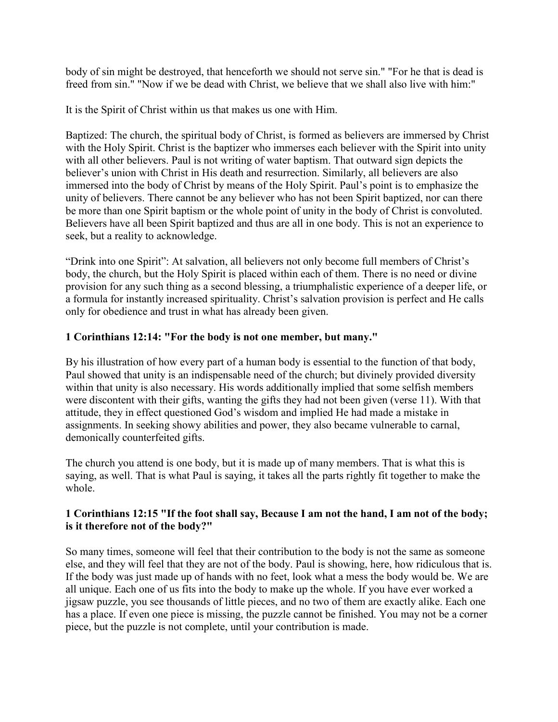body of sin might be destroyed, that henceforth we should not serve sin." "For he that is dead is freed from sin." "Now if we be dead with Christ, we believe that we shall also live with him:"

It is the Spirit of Christ within us that makes us one with Him.

Baptized: The church, the spiritual body of Christ, is formed as believers are immersed by Christ with the Holy Spirit. Christ is the baptizer who immerses each believer with the Spirit into unity with all other believers. Paul is not writing of water baptism. That outward sign depicts the believer's union with Christ in His death and resurrection. Similarly, all believers are also immersed into the body of Christ by means of the Holy Spirit. Paul's point is to emphasize the unity of believers. There cannot be any believer who has not been Spirit baptized, nor can there be more than one Spirit baptism or the whole point of unity in the body of Christ is convoluted. Believers have all been Spirit baptized and thus are all in one body. This is not an experience to seek, but a reality to acknowledge.

"Drink into one Spirit": At salvation, all believers not only become full members of Christ's body, the church, but the Holy Spirit is placed within each of them. There is no need or divine provision for any such thing as a second blessing, a triumphalistic experience of a deeper life, or a formula for instantly increased spirituality. Christ's salvation provision is perfect and He calls only for obedience and trust in what has already been given.

# **1 Corinthians 12:14: "For the body is not one member, but many."**

By his illustration of how every part of a human body is essential to the function of that body, Paul showed that unity is an indispensable need of the church; but divinely provided diversity within that unity is also necessary. His words additionally implied that some selfish members were discontent with their gifts, wanting the gifts they had not been given (verse 11). With that attitude, they in effect questioned God's wisdom and implied He had made a mistake in assignments. In seeking showy abilities and power, they also became vulnerable to carnal, demonically counterfeited gifts.

The church you attend is one body, but it is made up of many members. That is what this is saying, as well. That is what Paul is saying, it takes all the parts rightly fit together to make the whole.

## **1 Corinthians 12:15 "If the foot shall say, Because I am not the hand, I am not of the body; is it therefore not of the body?"**

So many times, someone will feel that their contribution to the body is not the same as someone else, and they will feel that they are not of the body. Paul is showing, here, how ridiculous that is. If the body was just made up of hands with no feet, look what a mess the body would be. We are all unique. Each one of us fits into the body to make up the whole. If you have ever worked a jigsaw puzzle, you see thousands of little pieces, and no two of them are exactly alike. Each one has a place. If even one piece is missing, the puzzle cannot be finished. You may not be a corner piece, but the puzzle is not complete, until your contribution is made.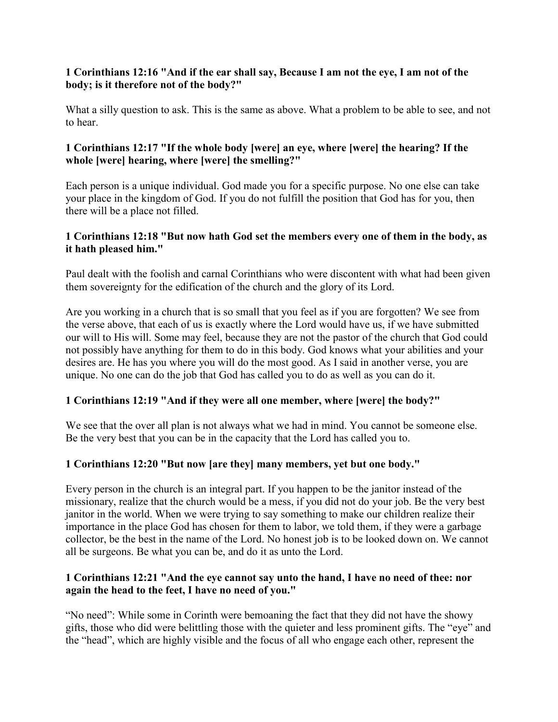#### **1 Corinthians 12:16 "And if the ear shall say, Because I am not the eye, I am not of the body; is it therefore not of the body?"**

What a silly question to ask. This is the same as above. What a problem to be able to see, and not to hear.

## **1 Corinthians 12:17 "If the whole body [were] an eye, where [were] the hearing? If the whole [were] hearing, where [were] the smelling?"**

Each person is a unique individual. God made you for a specific purpose. No one else can take your place in the kingdom of God. If you do not fulfill the position that God has for you, then there will be a place not filled.

# **1 Corinthians 12:18 "But now hath God set the members every one of them in the body, as it hath pleased him."**

Paul dealt with the foolish and carnal Corinthians who were discontent with what had been given them sovereignty for the edification of the church and the glory of its Lord.

Are you working in a church that is so small that you feel as if you are forgotten? We see from the verse above, that each of us is exactly where the Lord would have us, if we have submitted our will to His will. Some may feel, because they are not the pastor of the church that God could not possibly have anything for them to do in this body. God knows what your abilities and your desires are. He has you where you will do the most good. As I said in another verse, you are unique. No one can do the job that God has called you to do as well as you can do it.

## **1 Corinthians 12:19 "And if they were all one member, where [were] the body?"**

We see that the over all plan is not always what we had in mind. You cannot be someone else. Be the very best that you can be in the capacity that the Lord has called you to.

## **1 Corinthians 12:20 "But now [are they] many members, yet but one body."**

Every person in the church is an integral part. If you happen to be the janitor instead of the missionary, realize that the church would be a mess, if you did not do your job. Be the very best janitor in the world. When we were trying to say something to make our children realize their importance in the place God has chosen for them to labor, we told them, if they were a garbage collector, be the best in the name of the Lord. No honest job is to be looked down on. We cannot all be surgeons. Be what you can be, and do it as unto the Lord.

## **1 Corinthians 12:21 "And the eye cannot say unto the hand, I have no need of thee: nor again the head to the feet, I have no need of you."**

"No need": While some in Corinth were bemoaning the fact that they did not have the showy gifts, those who did were belittling those with the quieter and less prominent gifts. The "eye" and the "head", which are highly visible and the focus of all who engage each other, represent the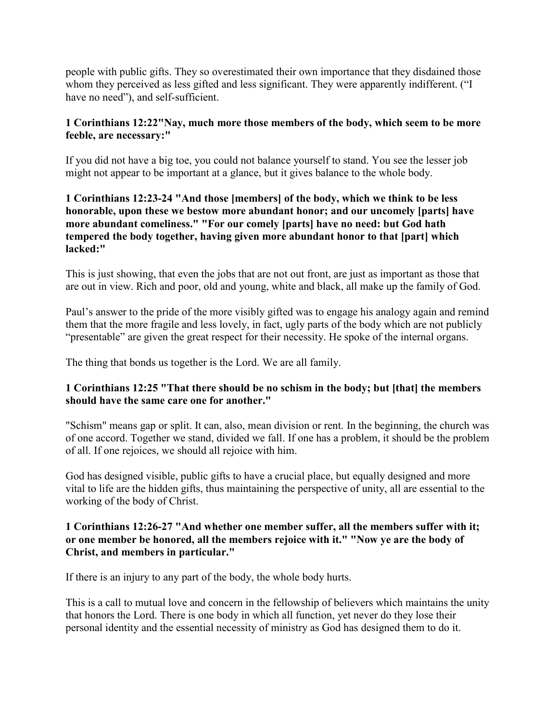people with public gifts. They so overestimated their own importance that they disdained those whom they perceived as less gifted and less significant. They were apparently indifferent. ("I have no need"), and self-sufficient.

## **1 Corinthians 12:22"Nay, much more those members of the body, which seem to be more feeble, are necessary:"**

If you did not have a big toe, you could not balance yourself to stand. You see the lesser job might not appear to be important at a glance, but it gives balance to the whole body.

## **1 Corinthians 12:23-24 "And those [members] of the body, which we think to be less honorable, upon these we bestow more abundant honor; and our uncomely [parts] have more abundant comeliness." "For our comely [parts] have no need: but God hath tempered the body together, having given more abundant honor to that [part] which lacked:"**

This is just showing, that even the jobs that are not out front, are just as important as those that are out in view. Rich and poor, old and young, white and black, all make up the family of God.

Paul's answer to the pride of the more visibly gifted was to engage his analogy again and remind them that the more fragile and less lovely, in fact, ugly parts of the body which are not publicly "presentable" are given the great respect for their necessity. He spoke of the internal organs.

The thing that bonds us together is the Lord. We are all family.

## **1 Corinthians 12:25 "That there should be no schism in the body; but [that] the members should have the same care one for another."**

"Schism" means gap or split. It can, also, mean division or rent. In the beginning, the church was of one accord. Together we stand, divided we fall. If one has a problem, it should be the problem of all. If one rejoices, we should all rejoice with him.

God has designed visible, public gifts to have a crucial place, but equally designed and more vital to life are the hidden gifts, thus maintaining the perspective of unity, all are essential to the working of the body of Christ.

#### **1 Corinthians 12:26-27 "And whether one member suffer, all the members suffer with it; or one member be honored, all the members rejoice with it." "Now ye are the body of Christ, and members in particular."**

If there is an injury to any part of the body, the whole body hurts.

This is a call to mutual love and concern in the fellowship of believers which maintains the unity that honors the Lord. There is one body in which all function, yet never do they lose their personal identity and the essential necessity of ministry as God has designed them to do it.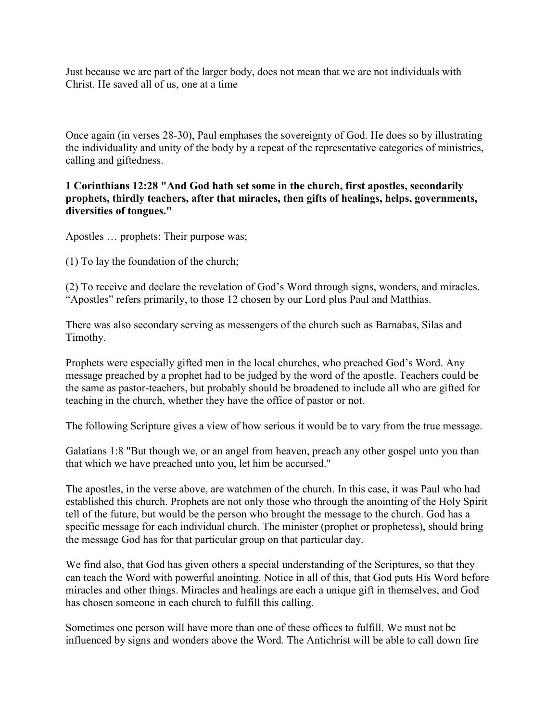Just because we are part of the larger body, does not mean that we are not individuals with Christ. He saved all of us, one at a time

Once again (in verses 28-30), Paul emphases the sovereignty of God. He does so by illustrating the individuality and unity of the body by a repeat of the representative categories of ministries, calling and giftedness.

#### **1 Corinthians 12:28 "And God hath set some in the church, first apostles, secondarily prophets, thirdly teachers, after that miracles, then gifts of healings, helps, governments, diversities of tongues."**

Apostles … prophets: Their purpose was;

(1) To lay the foundation of the church;

(2) To receive and declare the revelation of God's Word through signs, wonders, and miracles. "Apostles" refers primarily, to those 12 chosen by our Lord plus Paul and Matthias.

There was also secondary serving as messengers of the church such as Barnabas, Silas and Timothy.

Prophets were especially gifted men in the local churches, who preached God's Word. Any message preached by a prophet had to be judged by the word of the apostle. Teachers could be the same as pastor-teachers, but probably should be broadened to include all who are gifted for teaching in the church, whether they have the office of pastor or not.

The following Scripture gives a view of how serious it would be to vary from the true message.

Galatians 1:8 "But though we, or an angel from heaven, preach any other gospel unto you than that which we have preached unto you, let him be accursed."

The apostles, in the verse above, are watchmen of the church. In this case, it was Paul who had established this church. Prophets are not only those who through the anointing of the Holy Spirit tell of the future, but would be the person who brought the message to the church. God has a specific message for each individual church. The minister (prophet or prophetess), should bring the message God has for that particular group on that particular day.

We find also, that God has given others a special understanding of the Scriptures, so that they can teach the Word with powerful anointing. Notice in all of this, that God puts His Word before miracles and other things. Miracles and healings are each a unique gift in themselves, and God has chosen someone in each church to fulfill this calling.

Sometimes one person will have more than one of these offices to fulfill. We must not be influenced by signs and wonders above the Word. The Antichrist will be able to call down fire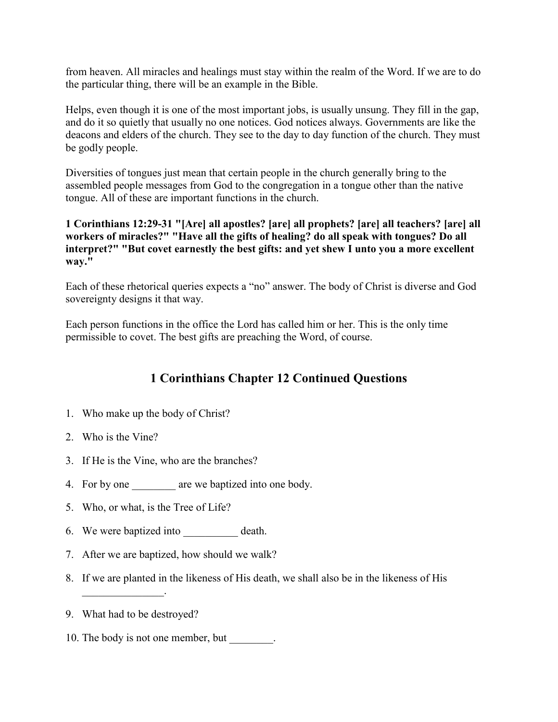from heaven. All miracles and healings must stay within the realm of the Word. If we are to do the particular thing, there will be an example in the Bible.

Helps, even though it is one of the most important jobs, is usually unsung. They fill in the gap, and do it so quietly that usually no one notices. God notices always. Governments are like the deacons and elders of the church. They see to the day to day function of the church. They must be godly people.

Diversities of tongues just mean that certain people in the church generally bring to the assembled people messages from God to the congregation in a tongue other than the native tongue. All of these are important functions in the church.

**1 Corinthians 12:29-31 "[Are] all apostles? [are] all prophets? [are] all teachers? [are] all workers of miracles?" "Have all the gifts of healing? do all speak with tongues? Do all interpret?" "But covet earnestly the best gifts: and yet shew I unto you a more excellent way."**

Each of these rhetorical queries expects a "no" answer. The body of Christ is diverse and God sovereignty designs it that way.

Each person functions in the office the Lord has called him or her. This is the only time permissible to covet. The best gifts are preaching the Word, of course.

# **1 Corinthians Chapter 12 Continued Questions**

- 1. Who make up the body of Christ?
- 2. Who is the Vine?
- 3. If He is the Vine, who are the branches?
- 4. For by one are we baptized into one body.
- 5. Who, or what, is the Tree of Life?
- 6. We were baptized into death.
- 7. After we are baptized, how should we walk?
- 8. If we are planted in the likeness of His death, we shall also be in the likeness of His
- 9. What had to be destroyed?

 $\mathcal{L}_\text{max}$ 

10. The body is not one member, but \_\_\_\_\_\_\_.